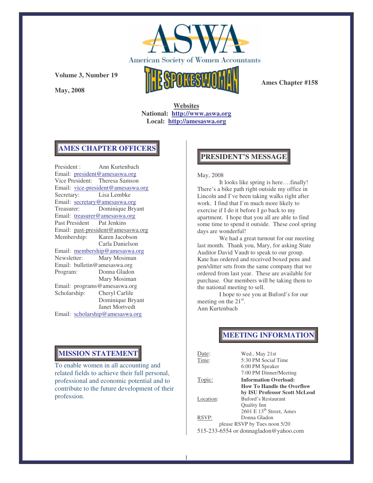

**May, 2008**



**Ames Chapter #158**

**Websites National: http://www.aswa.org Local: http://amesaswa.org**

## **AMES CHAPTER OFFICERS**

President : Ann Kurtenbach Email: president@amesaswa.org Vice President: Theresa Samson Email: vice-president@amesaswa.org Secretary: Lisa Lembke Email: secretary@amesaswa.org Treasurer: Dominique Bryant Email: treasurer@amesaswa.org Past President Pat Jenkins Email: past-president@amesaswa.org Membership: Karen Jacobson Carla Danielson Email: membership@amesaswa.org<br>Newsletter: Mary Mosiman Mary Mosiman Email: bulletin@amesaswa.org Program: Donna Gladon Mary Mosiman Email: programs@amesaswa.org Scholarship: Cheryl Carlile Dominique Bryant Janet Mortvedt Email: scholarship@amesaswa.org

## **PRESIDENT'S MESSAGE**

#### May, 2008

It looks like spring is here….finally! There's a bike path right outside my office in Lincoln and I've been taking walks right after work. I find that I'm much more likely to exercise if I do it before I go back to my apartment. I hope that you all are able to find some time to spend it outside. These cool spring days are wonderful!

We had a great turnout for our meeting last month. Thank you, Mary, for asking State Auditor David Vaudt to speak to our group. Kate has ordered and received boxed pens and pen/slitter sets from the same company that we ordered from last year. These are available for purchase. Our members will be taking them to the national meeting to sell.

I hope to see you at Buford's for our meeting on the 21<sup>st</sup>. Ann Kurtenbach

## **MEETING INFORMATION**

| Date:     | Wed., May 21st                        |
|-----------|---------------------------------------|
| Time:     | 5:30 PM Social Time                   |
|           | 6:00 PM Speaker                       |
|           | 7:00 PM Dinner/Meeting                |
| Topic:    | <b>Information Overload:</b>          |
|           | <b>How To Handle the Overflow</b>     |
|           | by ISU Professor Scott McLeod         |
| Location: | Buford's Restaurant                   |
|           | Quality Inn                           |
|           | 2601 E 13 <sup>th</sup> Street, Ames  |
| RSVP:     | Donna Gladon                          |
|           | please RSVP by Tues noon 5/20         |
|           | 515-233-6554 or donnagladon@yahoo.com |
|           |                                       |

## **MISSION STATEMENT**

To enable women in all accounting and related fields to achieve their full personal, professional and economic potential and to contribute to the future development of their profession.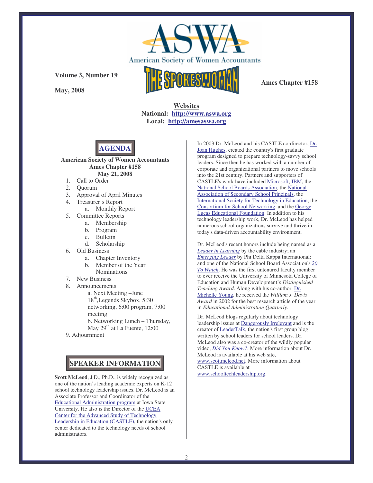

**May, 2008**

**Ames Chapter #158**

**Websites National: http://www.aswa.org Local: http://amesaswa.org**



**American Society of Women Accountants Ames Chapter #158 May 21, 2008**

- 1. Call to Order
- 2. Quorum
- 3. Approval of April Minutes
- 4. Treasurer's Report
	- a. Monthly Report
- 5. Committee Reports
	- a. Membership
	- b. Program
	- c. Bulletin
	- d. Scholarship
- 6. Old Business
	- a. Chapter Inventory
	- b. Member of the Year
	- Nominations
- 7. New Business
- 8. Announcements

a. Next Meeting –June 18<sup>th</sup>, Legends Skybox, 5:30 networking, 6:00 program, 7:00 meeting b. Networking Lunch – Thursday, May 29<sup>th</sup> at La Fuente, 12:00

9. Adjournment

# **SPEAKER INFORMATION**

**Scott McLeod**, J.D., Ph.D., is widely recognized as one of the nation's leading academic experts on K-12 school technology leadership issues. Dr. McLeod is an Associate Professor and Coordinator of the Educational Administration program at Iowa State University. He also is the Director of the UCEA Center for the Advanced Study of Technology Leadership in Education (CASTLE), the nation's only center dedicated to the technology needs of school administrators.

In 2003 Dr. McLeod and his CASTLE co-director, Dr. Joan Hughes, created the country's first graduate program designed to prepare technology-savvy school leaders. Since then he has worked with a number of corporate and organizational partners to move schools into the 21st century. Partners and supporters of CASTLE's work have included Microsoft, IBM, the National School Boards Association, the National Association of Secondary School Principals, the International Society for Technology in Education, the Consortium for School Networking, and the George Lucas Educational Foundation. In addition to his technology leadership work, Dr. McLeod has helped numerous school organizations survive and thrive in today's data-driven accountability environment.

Dr. McLeod's recent honors include being named as a *Leader in Learning* by the cable industry; an *Emerging Leader* by Phi Delta Kappa International; and one of the National School Board Association's *20 To Watch*. He was the first untenured faculty member to ever receive the University of Minnesota College of Education and Human Development's *Distinguished Teaching Award*. Along with his co-author, Dr. Michelle Young, he received the *William J. Davis Award* in 2002 for the best research article of the year in *Educational Administration Quarterly*.

Dr. McLeod blogs regularly about technology leadership issues at Dangerously Irrelevant and is the creator of LeaderTalk, the nation's first group blog written by school leaders for school leaders. Dr. McLeod also was a co-creator of the wildly popular video, *Did You Know?*. More information about Dr. McLeod is available at his web site, www.scottmcleod.net. More information about CASTLE is available at www.schooltechleadership.org.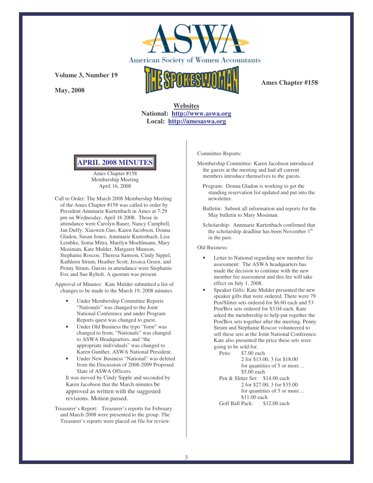

**May, 2008**



**Ames Chapter #158**

**Websites National: http://www.aswa.org Local: http://amesaswa.org**



Ames Chapter #158 Membership Meeting April 16, 2008

Call to Order: The March 2008 Membership Meeting of the Ames Chapter #158 was called to order by President Annmarie Kurtenbach in Ames at 7:29 pm on Wednesday, April 16 2008. Those in attendance were Carolyn Bauer, Nancy Campbell, Jan Duffy, Xiaowen Guo, Karen Jacobson, Donna Gladon, Susan Jones, Annmarie Kurtenbach, Lisa Lembke, Soma Mitra, Marilyn Moehlmann, Mary Mosiman, Kate Mulder, Margaret Munson, Stephanie Roscoe, Theresa Samson, Cindy Sippel, Kathleen Strum, Heather Scott, Jessica Green, and Penny Strum. Guests in attendance were Stephanie Fox and Sue Rybolt. A quorum was present.

Approval of Minutes: Kate Mulder submitted a list of changes to be made to the March 19, 2008 minutes.

- Under Membership Committee Reports "Nationals" was changed to the Joint National Conference and under Program Reports quest was changed to guest.
- Under Old Business the typo "form" was changed to from, "Nationals" was changed to ASWA Headquarters, and "the appropriate individuals" was changed to Karen Gunther, ASWA National President.
- Under New Business "National" was deleted from the Discussion of 2008-2009 Proposed Slate of ASWA Officers.

It was moved by Cindy Sipple and seconded by Karen Jacobson that the March minutes be approved as written with the suggested revisions. Motion passed.

Treasurer's Report: Treasurer's reports for February and March 2008 were presented to the group. The Treasurer's reports were placed on file for review.

Committee Reports:

- Membership Committee: Karen Jacobson introduced the guests at the meeting and had all current members introduce themselves to the guests.
	- Program: Donna Gladon is working to get the standing reservation list updated and put into the newsletter.
	- Bulletin: Submit all information and reports for the May bulletin to Mary Mosiman.
	- Scholarship: Annmarie Kurtenbach confirmed that the scholarship deadline has been November 1<sup>st</sup> in the past.

Old Business:

- Letter to National regarding new member fee assessment: The ASWA headquarters has made the decision to continue with the new member fee assessment and this fee will take effect on July 1, 2008.
- Speaker Gifts: Kate Mulder presented the new speaker gifts that were ordered. There were 79 Pen/Slitter sets ordered for \$6.60 each and 53 Pen/Box sets ordered for \$3.04 each. Kate asked the membership to help put together the Pen/Box sets together after the meeting. Penny Strum and Stephanie Roscoe volunteered to sell these sets at the Joint National Conference. Kate also presented the price these sets were going to be sold for.

Pens: \$7.00 each 2 for \$13.00, 3 for \$18.00 for quantities of 5 or more... \$5.00 each Pen & Slitter Set: \$14.00 each 2 for \$27.00, 3 for \$35.00 for quantities of 5 or more... \$11.00 each<br>Pack: \$12.00 each Golf Ball Pack: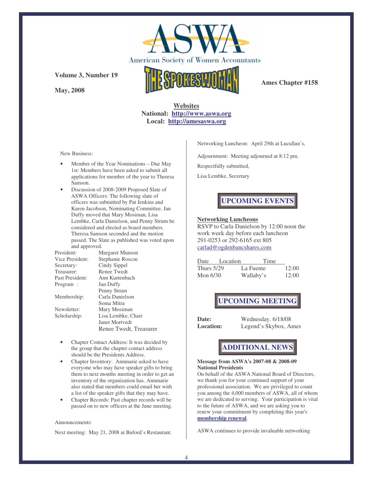

**Ames Chapter #158**

## **Websites National: http://www.aswa.org Local: http://amesaswa.org**

New Business:

**May, 2008**

**Volume 3, Number 19**

- Member of the Year Nominations Due May 1st: Members have been asked to submit all applications for member of the year to Theresa Samson.
- Discussion of 2008-2009 Proposed Slate of ASWA Officers: The following slate of officers was submitted by Pat Jenkins and Karen Jacobson, Nominating Committee. Jan Duffy moved that Mary Mosiman, Lisa Lembke, Carla Danielson, and Penny Strum be considered and elected as board members. Theresa Samson seconded and the motion passed. The Slate as published was voted upon and approved.

| President:      | Margaret Munson        |  |
|-----------------|------------------------|--|
| Vice President: | Stephanie Roscoe       |  |
| Secretary:      | Cindy Sippel           |  |
| Treasurer:      | <b>Renee Twedt</b>     |  |
| Past President: | Ann Kurtenbach         |  |
| Program :       | Jan Duffy              |  |
|                 | Penny Strum            |  |
| Membership:     | Carla Danielson        |  |
|                 | Soma Mitra             |  |
| Newsletter:     | Mary Mosiman           |  |
| Scholarship:    | Lisa Lembke, Chair     |  |
|                 | Janet Mortvedt         |  |
|                 | Renee Twedt, Treasurer |  |

- Chapter Contact Address: It was decided by the group that the chapter contact address should be the Presidents Address.
- Chapter Inventory: Annmarie asked to have everyone who may have speaker gifts to bring them to next months meeting in order to get an inventory of the organization has. Annmarie also stated that members could email her with a list of the speaker gifts that they may have.
- Chapter Records: Past chapter records will be passed on to new officers at the June meeting.

#### Announcements:

Next meeting: May 21, 2008 at Buford's Restaurant.

Networking Luncheon: April 29th at Lucullan's,

Adjournment: Meeting adjourned at 8:12 pm.

Respectfully submitted,

Lisa Lembke, Secretary

# **UPCOMING EVENTS**

### **Networking Luncheons**

RSVP to Carla Danielson by 12:00 noon the work week day before each luncheon 291-0253 or 292-6165 ext 805 carlad@ogdenbancshares.com

| Date              | Location | Time      |       |
|-------------------|----------|-----------|-------|
| <b>Thurs 5/29</b> |          | La Fuente | 12:00 |
| Mon $6/30$        |          | Wallaby's | 12:00 |

## **UPCOMING MEETING**

**Date:** Wednesday. 6/18/08 **Location:** Legend's Skybox, Ames

## **ADDITIONAL NEWS**

#### **Message from ASWA's 2007-08 & 2008-09 National Presidents**

On behalf of the ASWA National Board of Directors, we thank you for your continued support of your professional association. We are privileged to count you among the 4,000 members of ASWA, all of whom we are dedicated to serving. Your participation is vital to the future of ASWA, and we are asking you to renew your commitment by completing this year's **membership renewal**.

ASWA continues to provide invaluable networking